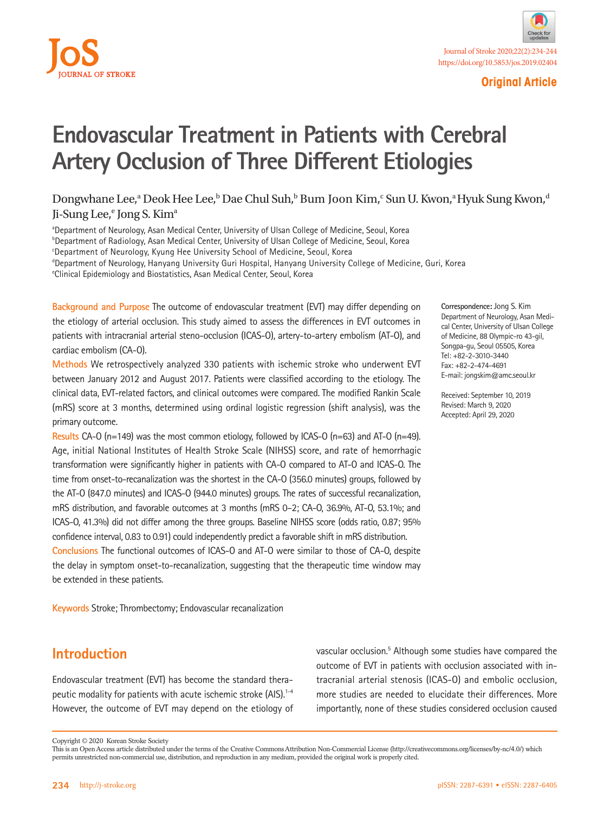



**Original Article**

# **Endovascular Treatment in Patients with Cerebral Artery Occlusion of Three Different Etiologies**

Dongwhane Lee,<sup>a</sup> Deok Hee Lee,<sup>b</sup> Dae Chul Suh,<sup>b</sup> Bum Joon Kim,<sup>c</sup> Sun U. Kwon,<sup>a</sup> Hyuk Sung Kwon,<sup>d</sup> Ji-Sung Lee,<sup>e</sup> Jong S. Kim<sup>a</sup>

aDepartment of Neurology, Asan Medical Center, University of Ulsan College of Medicine, Seoul, Korea b Department of Radiology, Asan Medical Center, University of Ulsan College of Medicine, Seoul, Korea <sup>c</sup>Department of Neurology, Kyung Hee University School of Medicine, Seoul, Korea d Department of Neurology, Hanyang University Guri Hospital, Hanyang University College of Medicine, Guri, Korea

e Clinical Epidemiology and Biostatistics, Asan Medical Center, Seoul, Korea

**Background and Purpose** The outcome of endovascular treatment (EVT) may differ depending on the etiology of arterial occlusion. This study aimed to assess the differences in EVT outcomes in patients with intracranial arterial steno-occlusion (ICAS-O), artery-to-artery embolism (AT-O), and cardiac embolism (CA-O).

**Methods** We retrospectively analyzed 330 patients with ischemic stroke who underwent EVT between January 2012 and August 2017. Patients were classified according to the etiology. The clinical data, EVT-related factors, and clinical outcomes were compared. The modified Rankin Scale (mRS) score at 3 months, determined using ordinal logistic regression (shift analysis), was the primary outcome.

**Results** CA-O (n=149) was the most common etiology, followed by ICAS-O (n=63) and AT-O (n=49). Age, initial National Institutes of Health Stroke Scale (NIHSS) score, and rate of hemorrhagic transformation were significantly higher in patients with CA-O compared to AT-O and ICAS-O. The time from onset-to-recanalization was the shortest in the CA-O (356.0 minutes) groups, followed by the AT-O (847.0 minutes) and ICAS-O (944.0 minutes) groups. The rates of successful recanalization, mRS distribution, and favorable outcomes at 3 months (mRS 0–2; CA-O, 36.9%, AT-O, 53.1%; and ICAS-O, 41.3%) did not differ among the three groups. Baseline NIHSS score (odds ratio, 0.87; 95% confidence interval, 0.83 to 0.91) could independently predict a favorable shift in mRS distribution. **Conclusions** The functional outcomes of ICAS-O and AT-O were similar to those of CA-O, despite the delay in symptom onset-to-recanalization, suggesting that the therapeutic time window may

be extended in these patients.

**Keywords** Stroke; Thrombectomy; Endovascular recanalization

## **Introduction**

Endovascular treatment (EVT) has become the standard therapeutic modality for patients with acute ischemic stroke (AIS).1-4 However, the outcome of EVT may depend on the etiology of vascular occlusion.<sup>5</sup> Although some studies have compared the outcome of EVT in patients with occlusion associated with intracranial arterial stenosis (ICAS-O) and embolic occlusion, more studies are needed to elucidate their differences. More importantly, none of these studies considered occlusion caused

**Correspondence:** Jong S. Kim Department of Neurology, Asan Medical Center, University of Ulsan College of Medicine, 88 Olympic-ro 43-gil, Songpa-gu, Seoul 05505, Korea Tel: +82-2-3010-3440 Fax: +82-2-474-4691 E-mail: jongskim@amc.seoul.kr

Received: September 10, 2019 Revised: March 9, 2020 Accepted: April 29, 2020

Copyright © 2020 Korean Stroke Society

This is an Open Access article distributed under the terms of the Creative Commons Attribution Non-Commercial License (http://creativecommons.org/licenses/by-nc/4.0/) which permits unrestricted non-commercial use, distribution, and reproduction in any medium, provided the original work is properly cited.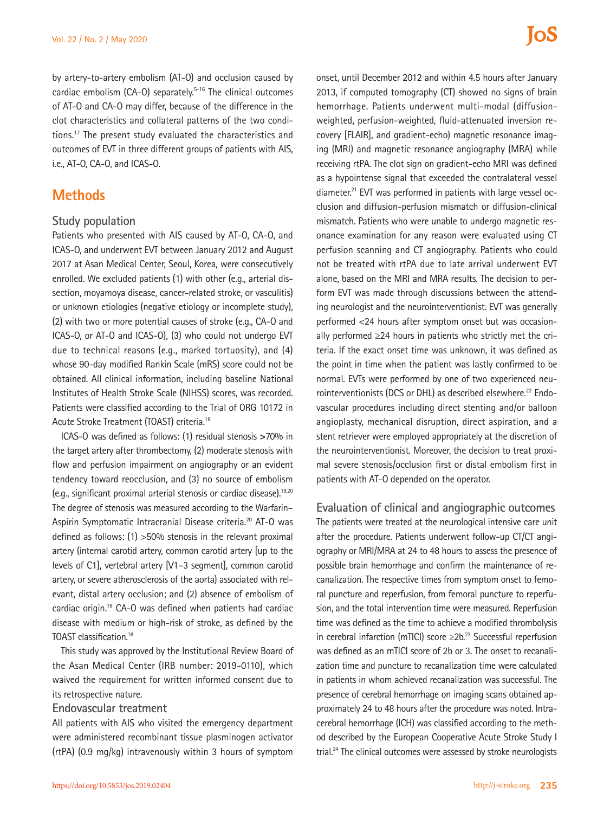by artery-to-artery embolism (AT-O) and occlusion caused by cardiac embolism (CA-O) separately.<sup>5-16</sup> The clinical outcomes of AT-O and CA-O may differ, because of the difference in the clot characteristics and collateral patterns of the two conditions.17 The present study evaluated the characteristics and outcomes of EVT in three different groups of patients with AIS, i.e., AT-O, CA-O, and ICAS-O.

## **Methods**

#### **Study population**

Patients who presented with AIS caused by AT-O, CA-O, and ICAS-O, and underwent EVT between January 2012 and August 2017 at Asan Medical Center, Seoul, Korea, were consecutively enrolled. We excluded patients (1) with other (e.g., arterial dissection, moyamoya disease, cancer-related stroke, or vasculitis) or unknown etiologies (negative etiology or incomplete study), (2) with two or more potential causes of stroke (e.g., CA-O and ICAS-O, or AT-O and ICAS-O), (3) who could not undergo EVT due to technical reasons (e.g., marked tortuosity), and (4) whose 90-day modified Rankin Scale (mRS) score could not be obtained. All clinical information, including baseline National Institutes of Health Stroke Scale (NIHSS) scores, was recorded. Patients were classified according to the Trial of ORG 10172 in Acute Stroke Treatment (TOAST) criteria.18

ICAS-O was defined as follows: (1) residual stenosis **>**70% in the target artery after thrombectomy, (2) moderate stenosis with flow and perfusion impairment on angiography or an evident tendency toward reocclusion, and (3) no source of embolism (e.g., significant proximal arterial stenosis or cardiac disease).19,20 The degree of stenosis was measured according to the Warfarin– Aspirin Symptomatic Intracranial Disease criteria.<sup>20</sup> AT-O was defined as follows: (1) >50% stenosis in the relevant proximal artery (internal carotid artery, common carotid artery [up to the levels of C1], vertebral artery [V1–3 segment], common carotid artery, or severe atherosclerosis of the aorta) associated with relevant, distal artery occlusion; and (2) absence of embolism of cardiac origin.18 CA-O was defined when patients had cardiac disease with medium or high-risk of stroke, as defined by the TOAST classification.18

This study was approved by the Institutional Review Board of the Asan Medical Center (IRB number: 2019-0110), which waived the requirement for written informed consent due to its retrospective nature.

#### **Endovascular treatment**

All patients with AIS who visited the emergency department were administered recombinant tissue plasminogen activator (rtPA) (0.9 mg/kg) intravenously within 3 hours of symptom

onset, until December 2012 and within 4.5 hours after January 2013, if computed tomography (CT) showed no signs of brain hemorrhage. Patients underwent multi-modal (diffusionweighted, perfusion-weighted, fluid-attenuated inversion recovery [FLAIR], and gradient-echo) magnetic resonance imaging (MRI) and magnetic resonance angiography (MRA) while receiving rtPA. The clot sign on gradient-echo MRI was defined as a hypointense signal that exceeded the contralateral vessel diameter.<sup>21</sup> EVT was performed in patients with large vessel occlusion and diffusion-perfusion mismatch or diffusion-clinical mismatch. Patients who were unable to undergo magnetic resonance examination for any reason were evaluated using CT perfusion scanning and CT angiography. Patients who could not be treated with rtPA due to late arrival underwent EVT alone, based on the MRI and MRA results. The decision to perform EVT was made through discussions between the attending neurologist and the neurointerventionist. EVT was generally performed <24 hours after symptom onset but was occasionally performed ≥24 hours in patients who strictly met the criteria. If the exact onset time was unknown, it was defined as the point in time when the patient was lastly confirmed to be normal. EVTs were performed by one of two experienced neurointerventionists (DCS or DHL) as described elsewhere.<sup>22</sup> Endovascular procedures including direct stenting and/or balloon angioplasty, mechanical disruption, direct aspiration, and a stent retriever were employed appropriately at the discretion of the neurointerventionist. Moreover, the decision to treat proximal severe stenosis/occlusion first or distal embolism first in patients with AT-O depended on the operator.

**Evaluation of clinical and angiographic outcomes** The patients were treated at the neurological intensive care unit after the procedure. Patients underwent follow-up CT/CT angiography or MRI/MRA at 24 to 48 hours to assess the presence of possible brain hemorrhage and confirm the maintenance of recanalization. The respective times from symptom onset to femoral puncture and reperfusion, from femoral puncture to reperfusion, and the total intervention time were measured. Reperfusion time was defined as the time to achieve a modified thrombolysis in cerebral infarction (mTICI) score ≥2b. $^{23}$  Successful reperfusion was defined as an mTICI score of 2b or 3. The onset to recanalization time and puncture to recanalization time were calculated in patients in whom achieved recanalization was successful. The presence of cerebral hemorrhage on imaging scans obtained approximately 24 to 48 hours after the procedure was noted. Intracerebral hemorrhage (ICH) was classified according to the method described by the European Cooperative Acute Stroke Study I trial.<sup>24</sup> The clinical outcomes were assessed by stroke neurologists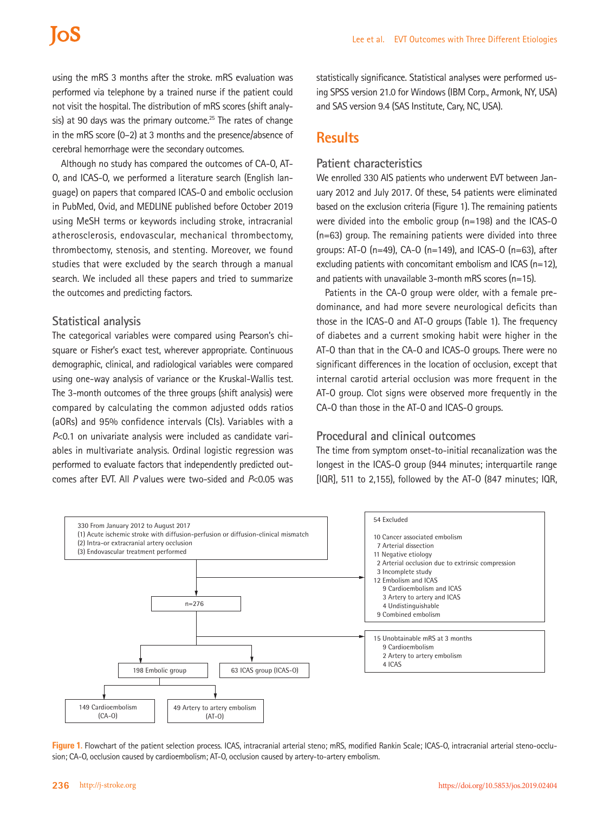# IOS

using the mRS 3 months after the stroke. mRS evaluation was performed via telephone by a trained nurse if the patient could not visit the hospital. The distribution of mRS scores (shift analysis) at 90 days was the primary outcome.<sup>25</sup> The rates of change in the mRS score (0–2) at 3 months and the presence/absence of cerebral hemorrhage were the secondary outcomes.

Although no study has compared the outcomes of CA-O, AT-O, and ICAS-O, we performed a literature search (English language) on papers that compared ICAS-O and embolic occlusion in PubMed, Ovid, and MEDLINE published before October 2019 using MeSH terms or keywords including stroke, intracranial atherosclerosis, endovascular, mechanical thrombectomy, thrombectomy, stenosis, and stenting. Moreover, we found studies that were excluded by the search through a manual search. We included all these papers and tried to summarize the outcomes and predicting factors.

### **Statistical analysis**

The categorical variables were compared using Pearson's chisquare or Fisher's exact test, wherever appropriate. Continuous demographic, clinical, and radiological variables were compared using one-way analysis of variance or the Kruskal-Wallis test. The 3-month outcomes of the three groups (shift analysis) were compared by calculating the common adjusted odds ratios (aORs) and 95% confidence intervals (CIs). Variables with a *P*<0.1 on univariate analysis were included as candidate variables in multivariate analysis. Ordinal logistic regression was performed to evaluate factors that independently predicted outcomes after EVT. All *P* values were two-sided and *P*<0.05 was

statistically significance. Statistical analyses were performed using SPSS version 21.0 for Windows (IBM Corp., Armonk, NY, USA) and SAS version 9.4 (SAS Institute, Cary, NC, USA).

## **Results**

### **Patient characteristics**

We enrolled 330 AIS patients who underwent EVT between January 2012 and July 2017. Of these, 54 patients were eliminated based on the exclusion criteria (Figure 1). The remaining patients were divided into the embolic group (n=198) and the ICAS-O (n=63) group. The remaining patients were divided into three groups: AT-O (n=49), CA-O (n=149), and ICAS-O (n=63), after excluding patients with concomitant embolism and ICAS (n=12), and patients with unavailable 3-month mRS scores (n=15).

Patients in the CA-O group were older, with a female predominance, and had more severe neurological deficits than those in the ICAS-O and AT-O groups (Table 1). The frequency of diabetes and a current smoking habit were higher in the AT-O than that in the CA-O and ICAS-O groups. There were no significant differences in the location of occlusion, except that internal carotid arterial occlusion was more frequent in the AT-O group. Clot signs were observed more frequently in the CA-O than those in the AT-O and ICAS-O groups.

### **Procedural and clinical outcomes**

The time from symptom onset-to-initial recanalization was the longest in the ICAS-O group (944 minutes; interquartile range [IQR], 511 to 2,155), followed by the AT-O (847 minutes; IQR,



**Figure 1.** Flowchart of the patient selection process. ICAS, intracranial arterial steno; mRS, modified Rankin Scale; ICAS-O, intracranial arterial steno-occlusion; CA-O, occlusion caused by cardioembolism; AT-O, occlusion caused by artery-to-artery embolism.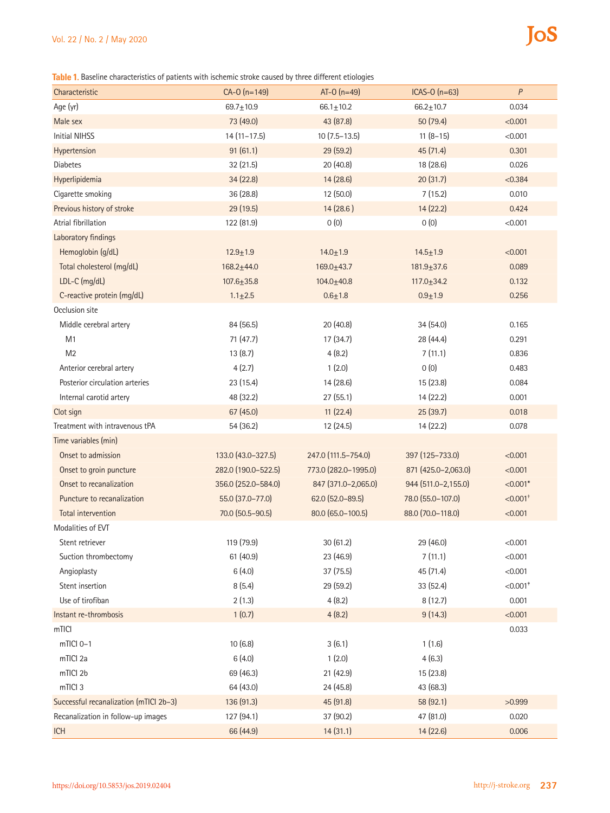### Vol. 22 / No. 2 / May 2020

**Table 1.** Baseline characteristics of patients with ischemic stroke caused by three different etiologies

| Characteristic                         | $CA-O (n=149)$      | $AT-O(n=49)$         | ICAS-0 (n=63)       | $\boldsymbol{P}$       |
|----------------------------------------|---------------------|----------------------|---------------------|------------------------|
| Age (yr)                               | $69.7 \pm 10.9$     | $66.1 \pm 10.2$      | $66.2 \pm 10.7$     | 0.034                  |
| Male sex                               | 73 (49.0)           | 43 (87.8)            | 50 (79.4)           | < 0.001                |
| <b>Initial NIHSS</b>                   | $14(11-17.5)$       | $10(7.5-13.5)$       | $11(8-15)$          | < 0.001                |
| Hypertension                           | 91(61.1)            | 29(59.2)             | 45 (71.4)           | 0.301                  |
| <b>Diabetes</b>                        | 32 (21.5)           | 20(40.8)             | 18 (28.6)           | 0.026                  |
| Hyperlipidemia                         | 34 (22.8)           | 14 (28.6)            | 20(31.7)            | < 0.384                |
| Cigarette smoking                      | 36 (28.8)           | 12 (50.0)            | 7(15.2)             | 0.010                  |
| Previous history of stroke             | 29 (19.5)           | 14 (28.6)            | 14 (22.2)           | 0.424                  |
| Atrial fibrillation                    | 122 (81.9)          | 0(0)                 | 0(0)                | < 0.001                |
| Laboratory findings                    |                     |                      |                     |                        |
| Hemoglobin (g/dL)                      | $12.9 + 1.9$        | $14.0 \pm 1.9$       | $14.5 \pm 1.9$      | < 0.001                |
| Total cholesterol (mg/dL)              | $168.2 + 44.0$      | $169.0 + 43.7$       | $181.9 + 37.6$      | 0.089                  |
| LDL-C (mg/dL)                          | $107.6 \pm 35.8$    | $104.0 + 40.8$       | $117.0 \pm 34.2$    | 0.132                  |
| C-reactive protein (mg/dL)             | $1.1 \pm 2.5$       | $0.6 + 1.8$          | $0.9 + 1.9$         | 0.256                  |
| Occlusion site                         |                     |                      |                     |                        |
| Middle cerebral artery                 | 84 (56.5)           | 20(40.8)             | 34 (54.0)           | 0.165                  |
| M1                                     | 71 (47.7)           | 17 (34.7)            | 28 (44.4)           | 0.291                  |
| M <sub>2</sub>                         | 13(8.7)             | 4(8.2)               | 7(11.1)             | 0.836                  |
| Anterior cerebral artery               | 4(2.7)              | 1(2.0)               | 0(0)                | 0.483                  |
| Posterior circulation arteries         | 23 (15.4)           | 14 (28.6)            | 15 (23.8)           | 0.084                  |
| Internal carotid artery                | 48 (32.2)           | 27(55.1)             | 14 (22.2)           | 0.001                  |
| Clot sign                              | 67 (45.0)           | 11(22.4)             | 25(39.7)            | 0.018                  |
| Treatment with intravenous tPA         | 54 (36.2)           | 12 (24.5)            | 14 (22.2)           | 0.078                  |
| Time variables (min)                   |                     |                      |                     |                        |
| Onset to admission                     | 133.0 (43.0-327.5)  | 247.0 (111.5-754.0)  | 397 (125 - 733.0)   | < 0.001                |
| Onset to groin puncture                | 282.0 (190.0-522.5) | 773.0 (282.0-1995.0) | 871 (425.0-2,063.0) | < 0.001                |
| Onset to recanalization                | 356.0 (252.0-584.0) | 847 (371.0-2,065.0)  | 944 (511.0-2,155.0) | $< 0.001*$             |
| Puncture to recanalization             | 55.0 (37.0-77.0)    | 62.0 (52.0-89.5)     | 78.0 (55.0-107.0)   | $< 0.001$ <sup>+</sup> |
| Total intervention                     | 70.0 (50.5-90.5)    | 80.0 (65.0-100.5)    | 88.0 (70.0-118.0)   | < 0.001                |
| Modalities of EVT                      |                     |                      |                     |                        |
| Stent retriever                        | 119 (79.9)          | 30 (61.2)            | 29 (46.0)           | < 0.001                |
| Suction thrombectomy                   | 61 (40.9)           | 23 (46.9)            | 7(11.1)             | < 0.001                |
| Angioplasty                            | 6(4.0)              | 37(75.5)             | 45 (71.4)           | < 0.001                |
| Stent insertion                        | 8(5.4)              | 29(59.2)             | 33 (52.4)           | $< 0.001$ <sup>*</sup> |
| Use of tirofiban                       | 2(1.3)              | 4(8.2)               | 8(12.7)             | 0.001                  |
| Instant re-thrombosis                  | 1(0.7)              | 4(8.2)               | 9(14.3)             | < 0.001                |
| mTICI                                  |                     |                      |                     | 0.033                  |
| mTICI 0-1                              | 10(6.8)             | 3(6.1)               | 1(1.6)              |                        |
| mTICI 2a                               | 6(4.0)              | 1(2.0)               | 4(6.3)              |                        |
| mTICI 2b                               | 69 (46.3)           | 21 (42.9)            | 15(23.8)            |                        |
| mTICI 3                                | 64 (43.0)           | 24 (45.8)            | 43 (68.3)           |                        |
| Successful recanalization (mTICI 2b-3) | 136 (91.3)          | 45 (91.8)            | 58 (92.1)           | >0.999                 |
| Recanalization in follow-up images     | 127 (94.1)          | 37 (90.2)            | 47 (81.0)           | 0.020                  |
| <b>ICH</b>                             | 66 (44.9)           | 14(31.1)             | 14 (22.6)           | 0.006                  |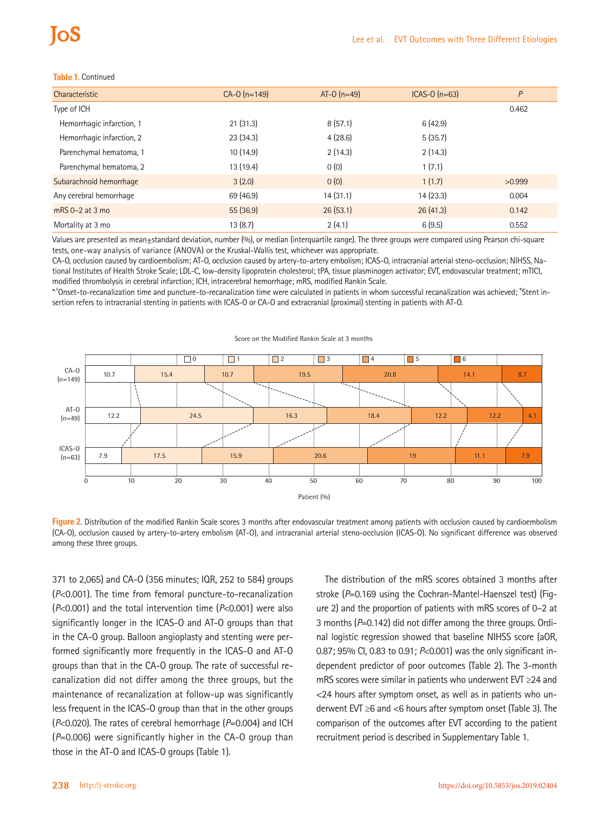#### **Table 1.** Continued

| Characteristic            | $CA-O (n=149)$ | $AT-O(n=49)$ | $ICAS-0$ ( $n=63$ ) | P      |
|---------------------------|----------------|--------------|---------------------|--------|
| Type of ICH               |                |              |                     | 0.462  |
| Hemorrhagic infarction, 1 | 21(31.3)       | 8(57.1)      | 6(42.9)             |        |
| Hemorrhagic infarction, 2 | 23(34.3)       | 4(28.6)      | 5(35.7)             |        |
| Parenchymal hematoma, 1   | 10(14.9)       | 2(14.3)      | 2(14.3)             |        |
| Parenchymal hematoma, 2   | 13(19.4)       | 0(0)         | 1(7.1)              |        |
| Subarachnoid hemorrhage   | 3(2.0)         | 0(0)         | 1(1.7)              | >0.999 |
| Any cerebral hemorrhage   | 69 (46.9)      | 14(31.1)     | 14(23.3)            | 0.004  |
| $mRS_0-2$ at 3 mo         | 55(36.9)       | 26(53.1)     | 26(41.3)            | 0.142  |
| Mortality at 3 mo         | 13(8.7)        | 2(4.1)       | 6(9.5)              | 0.552  |

Values are presented as mean±standard deviation, number (%), or median (interquartile range). The three groups were compared using Pearson chi-square tests, one-way analysis of variance (ANOVA) or the Kruskal-Wallis test, whichever was appropriate.

CA-O, occlusion caused by cardioembolism; AT-O, occlusion caused by artery-to-artery embolism; ICAS-O, intracranial arterial steno-occlusion; NIHSS, National Institutes of Health Stroke Scale; LDL-C, low-density lipoprotein cholesterol; tPA, tissue plasminogen activator; EVT, endovascular treatment; mTICI, modified thrombolysis in cerebral infarction; ICH, intracerebral hemorrhage; mRS, modified Rankin Scale.

\* ,†Onset-to-recanalization time and puncture-to-recanalization time were calculated in patients in whom successful recanalization was achieved; ‡ Stent insertion refers to intracranial stenting in patients with ICAS-O or CA-O and extracranial (proximal) stenting in patients with AT-O.



#### Score on the Modified Rankin Scale at 3 months

**Figure 2.** Distribution of the modified Rankin Scale scores 3 months after endovascular treatment among patients with occlusion caused by cardioembolism (CA-O), occlusion caused by artery-to-artery embolism (AT-O), and intracranial arterial steno-occlusion (ICAS-O). No significant difference was observed among these three groups.

371 to 2,065) and CA-O (356 minutes; IQR, 252 to 584) groups (*P*<0.001). The time from femoral puncture-to-recanalization (*P*<0.001) and the total intervention time (*P*<0.001) were also significantly longer in the ICAS-O and AT-O groups than that in the CA-O group. Balloon angioplasty and stenting were performed significantly more frequently in the ICAS-O and AT-O groups than that in the CA-O group. The rate of successful recanalization did not differ among the three groups, but the maintenance of recanalization at follow-up was significantly less frequent in the ICAS-O group than that in the other groups (*P*<0.020). The rates of cerebral hemorrhage (*P*=0.004) and ICH (*P*=0.006) were significantly higher in the CA-O group than those in the AT-O and ICAS-O groups (Table 1).

The distribution of the mRS scores obtained 3 months after stroke (*P*=0.169 using the Cochran-Mantel-Haenszel test) (Figure 2) and the proportion of patients with mRS scores of 0–2 at 3 months (*P*=0.142) did not differ among the three groups. Ordinal logistic regression showed that baseline NIHSS score (aOR, 0.87; 95% CI, 0.83 to 0.91; *P*<0.001) was the only significant independent predictor of poor outcomes (Table 2). The 3-month mRS scores were similar in patients who underwent EVT ≥24 and <24 hours after symptom onset, as well as in patients who underwent EVT ≥6 and <6 hours after symptom onset (Table 3). The comparison of the outcomes after EVT according to the patient recruitment period is described in Supplementary Table 1.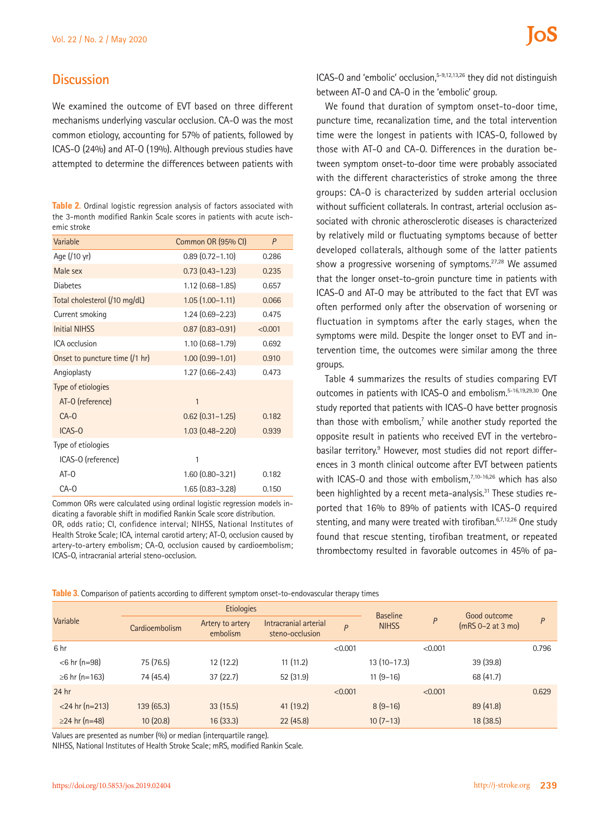## **Discussion**

We examined the outcome of EVT based on three different mechanisms underlying vascular occlusion. CA-O was the most common etiology, accounting for 57% of patients, followed by ICAS-O (24%) and AT-O (19%). Although previous studies have attempted to determine the differences between patients with

**Table 2.** Ordinal logistic regression analysis of factors associated with the 3-month modified Rankin Scale scores in patients with acute ischemic stroke

| Variable                       | Common OR (95% CI)     | P       |
|--------------------------------|------------------------|---------|
| Age (/10 yr)                   | $0.89(0.72 - 1.10)$    | 0.286   |
| Male sex                       | $0.73$ $(0.43 - 1.23)$ | 0.235   |
| <b>Diabetes</b>                | $1.12$ (0.68-1.85)     | 0.657   |
| Total cholesterol (/10 mg/dL)  | $1.05(1.00-1.11)$      | 0.066   |
| Current smoking                | $1.24(0.69 - 2.23)$    | 0.475   |
| <b>Initial NIHSS</b>           | $0.87(0.83 - 0.91)$    | < 0.001 |
| ICA occlusion                  | $1.10(0.68 - 1.79)$    | 0.692   |
| Onset to puncture time (/1 hr) | $1.00(0.99 - 1.01)$    | 0.910   |
| Angioplasty                    | $1.27(0.66 - 2.43)$    | 0.473   |
| Type of etiologies             |                        |         |
| AT-O (reference)               | $\overline{1}$         |         |
| $CA-0$                         | $0.62$ $(0.31 - 1.25)$ | 0.182   |
| ICAS-0                         | $1.03(0.48 - 2.20)$    | 0.939   |
| Type of etiologies             |                        |         |
| ICAS-O (reference)             | 1                      |         |
| $AT-O$                         | $1.60(0.80 - 3.21)$    | 0.182   |
| $CA-O$                         | 1.65 (0.83-3.28)       | 0.150   |

Common ORs were calculated using ordinal logistic regression models indicating a favorable shift in modified Rankin Scale score distribution. OR, odds ratio; CI, confidence interval; NIHSS, National Institutes of Health Stroke Scale; ICA, internal carotid artery; AT-O, occlusion caused by artery-to-artery embolism; CA-O, occlusion caused by cardioembolism; ICAS-O, intracranial arterial steno-occlusion.

ICAS-O and 'embolic' occlusion,<sup>5-9,12,13,26</sup> they did not distinguish between AT-O and CA-O in the 'embolic' group.

We found that duration of symptom onset-to-door time, puncture time, recanalization time, and the total intervention time were the longest in patients with ICAS-O, followed by those with AT-O and CA-O. Differences in the duration between symptom onset-to-door time were probably associated with the different characteristics of stroke among the three groups: CA-O is characterized by sudden arterial occlusion without sufficient collaterals. In contrast, arterial occlusion associated with chronic atherosclerotic diseases is characterized by relatively mild or fluctuating symptoms because of better developed collaterals, although some of the latter patients show a progressive worsening of symptoms. $27,28$  We assumed that the longer onset-to-groin puncture time in patients with ICAS-O and AT-O may be attributed to the fact that EVT was often performed only after the observation of worsening or fluctuation in symptoms after the early stages, when the symptoms were mild. Despite the longer onset to EVT and intervention time, the outcomes were similar among the three groups.

Table 4 summarizes the results of studies comparing EVT outcomes in patients with ICAS-O and embolism.<sup>5-16,19,29,30</sup> One study reported that patients with ICAS-O have better prognosis than those with embolism, $7$  while another study reported the opposite result in patients who received EVT in the vertebrobasilar territory.<sup>9</sup> However, most studies did not report differences in 3 month clinical outcome after EVT between patients with ICAS-O and those with embolism, $7,10-16,26$  which has also been highlighted by a recent meta-analysis. $31$  These studies reported that 16% to 89% of patients with ICAS-O required stenting, and many were treated with tirofiban. $67,12,26$  One study found that rescue stenting, tirofiban treatment, or repeated thrombectomy resulted in favorable outcomes in 45% of pa-

|  |  |  |  |  | Table 3. Comparison of patients according to different symptom onset-to-endovascular therapy times |  |
|--|--|--|--|--|----------------------------------------------------------------------------------------------------|--|
|--|--|--|--|--|----------------------------------------------------------------------------------------------------|--|

|                   |                | <b>Etiologies</b>            |                                          |         | <b>Baseline</b> |         | Good outcome         |       |
|-------------------|----------------|------------------------------|------------------------------------------|---------|-----------------|---------|----------------------|-------|
| Variable          | Cardioembolism | Artery to artery<br>embolism | Intracranial arterial<br>steno-occlusion | P       | <b>NIHSS</b>    | P       | $(mRS 0-2 at 3 mol)$ | P     |
| 6 hr              |                |                              |                                          | < 0.001 |                 | < 0.001 |                      | 0.796 |
| $<$ 6 hr (n=98)   | 75 (76.5)      | 12(12.2)                     | 11(11.2)                                 |         | $13(10-17.3)$   |         | 39 (39.8)            |       |
| ≥6 hr (n=163)     | 74 (45.4)      | 37(22.7)                     | 52(31.9)                                 |         | $11(9-16)$      |         | 68 (41.7)            |       |
| 24 hr             |                |                              |                                          | < 0.001 |                 | < 0.001 |                      | 0.629 |
| $<$ 24 hr (n=213) | 139(65.3)      | 33(15.5)                     | 41(19.2)                                 |         | $8(9-16)$       |         | 89(41.8)             |       |
| ≥24 hr (n=48)     | 10(20.8)       | 16(33.3)                     | 22(45.8)                                 |         | $10(7-13)$      |         | 18 (38.5)            |       |

Values are presented as number (%) or median (interquartile range).

NIHSS, National Institutes of Health Stroke Scale; mRS, modified Rankin Scale.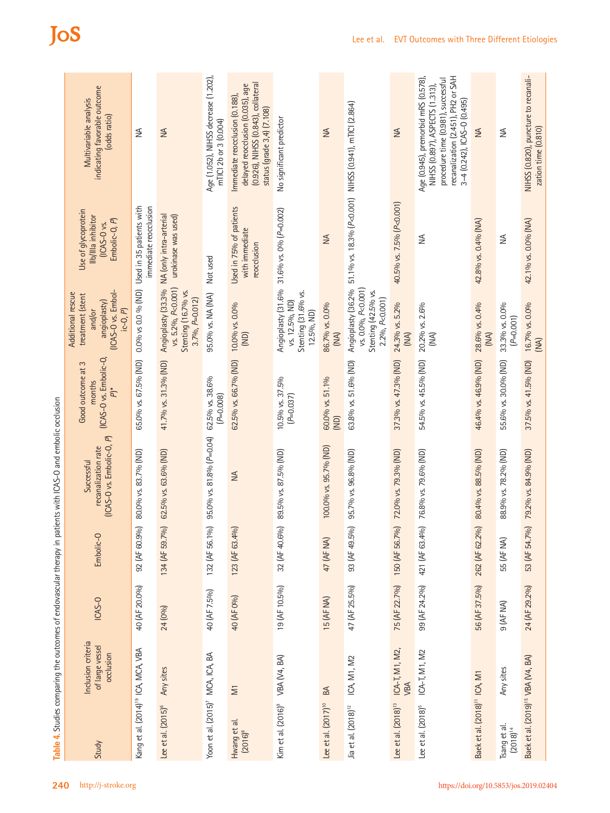|                                                |                                                    |               |                |                                                                |                                                                           | Additional rescue                                                                 |                                                                           |                                                                                                                                                                                   |
|------------------------------------------------|----------------------------------------------------|---------------|----------------|----------------------------------------------------------------|---------------------------------------------------------------------------|-----------------------------------------------------------------------------------|---------------------------------------------------------------------------|-----------------------------------------------------------------------------------------------------------------------------------------------------------------------------------|
| Study                                          | Inclusion criteria<br>of large vessel<br>occlusion | ICAS-O        | Embolic-O      | (ICAS-O vs. Embolic-O, P)<br>recanalization rate<br>Successful | (ICAS-O vs. Embolic-O,<br>Good outcome at 3<br>months<br>$\overline{P}^*$ | (ICAS-O vs. Embol-<br>treatment (stent<br>angioplasty)<br>$ic-0, P$<br>and/or     | Use of glycoprotein<br>Ilb/Illa inhibitor<br>Embolic-Q, P)<br>(ICAS-O vs. | indicating favorable outcome<br>Multivariable analysis<br>(odds ratio)                                                                                                            |
| Kang et al. (2014) <sup>19</sup> ICA, MCA, VBA |                                                    | 40 (AF 20.0%) | 92 (AF 60.9%)  | 80.0% vs. 83.7% (ND)                                           | 65.0% vs. 67.5% (ND)                                                      | 0.0% vs 0.0 % (ND)                                                                | Used in 35 patients with<br>immediate reocclusion                         | ₹                                                                                                                                                                                 |
| Lee et al. (2015) <sup>6</sup>                 | Any sites                                          | 24 (0%)       | 134 (AF 59.7%) | 62.5% vs. 63.6% (ND)                                           | 41.7% vs. 31.3% (ND)                                                      | vs. 5.2%, P<0.001)<br>Angioplasty (33.3%<br>Stenting (16.7% vs.<br>3.7%, P=0.012) | NA (only intra-arterial<br>urokinase was used)                            | $\lessgtr$                                                                                                                                                                        |
| Yoon et al. (2015) <sup>7</sup> MCA, ICA, BA   |                                                    | 40 (AF 7.5%)  | 132 (AF 56.1%  | 95.0% vs. 81.8% (P=0.04)                                       | 62.5% vs. 38.6%<br>$(P=0.008)$                                            | 95.0% vs. NA (NA)                                                                 | Not used                                                                  | Age (1.052), NIHSS decrease (1.202),<br>mTICI 2b or 3 (0.004)                                                                                                                     |
| Hwang et al.<br>$(2016)^8$                     | $\overline{\triangleright}$                        | 40 (AF 0%)    | 123 (AF 63.4%  | $\leq$                                                         | 62.5% vs. 66.7% (ND)                                                      | 10.0% vs. 0.0%<br>(D)                                                             | Used in 75% of patients<br>with immediate<br>reocclusion                  | (0.926), NIHSS (0.843), collateral<br>delayed reocclusion (0.035), age<br>Immediate reocclusion (0.188),<br>status (grade 3,4) (7.108)                                            |
| Kim et al. (2016) <sup>9</sup>                 | <b>VBA (V4, BA)</b>                                | 19 (AF 10.5%) | 32 (AF 40.6%)  | 89.5% vs. 87.5% (ND)                                           | 10.5% vs. 37.5%<br>$(P=0.037)$                                            | Angioplasty (31.6%<br>Stenting (31.6% vs.<br>vs. 12.5%, ND)<br>12.5%, ND)         | 31.6% vs. 0% (P=0.002)                                                    | No significant predictor                                                                                                                                                          |
| Lee et al. (2017) <sup>10</sup>                | BA                                                 | 15 (AF NA)    | 47 (AF NA)     | 100.0% vs. 95.7% (ND)                                          | 60.0% vs. 51.1%<br>(D)                                                    | 86.7% vs. 0.0%<br>(M)                                                             | $\leq$                                                                    | $\leq$                                                                                                                                                                            |
| Jia et al. (2018) <sup>12</sup>                | ICA, M1, M2                                        | 47 (AF 25.5%) | 93 (AF 49.5%)  | 95.7% vs. 96.8% (ND)                                           | 63.8% vs. 51.6% (ND)                                                      | Angioplasty (36.2%<br>vs. 0.0%, P<0.001)<br>Stenting (42.5% vs.<br>2.2%, P<0.001) |                                                                           | 51.1% vs. 18.3% (P<0.001) NIHSS (0.941), mTICI (2.864)                                                                                                                            |
| Lee et al. (2018) <sup>13</sup>                | ICA-T, M1, M2,<br>VBA                              | 75 (AF 22.7%) | 150 (AF 56.7%) | 72.0% vs. 79.3% (ND)                                           | 37.3% vs. 47.3% (ND)                                                      | 24.3% vs. 5.2%<br>(MA)                                                            | 40.5% vs. 7.5% (P<0.001)                                                  | $\leq$                                                                                                                                                                            |
| Lee et al. (2018) <sup>5</sup>                 | ICA-T, M1, M2                                      | 99 (AF 24.2%) | 421 (AF 63.4%  | 76.8% vs. 79.6% (ND)                                           | 54.5% vs. 45.5% (ND)                                                      | 20.2% vs. 2.6%<br>(NA)                                                            | ₹                                                                         | recanalization (2.451), PH2 or SAH<br>Age (0.945), premorbid mRS (0.578),<br>procedure time (0.981), successful<br>NIHSS (0.897), ASPECTS (1.313),<br>3-4 (0.242), ICAS-0 (0.495) |
| Baek et al. (2018) <sup>11</sup> ICA, M1       |                                                    | 56 (AF 37.5%) | 262 (AF 62.2%  | 80.4% vs. 88.5% (ND)                                           | 46.4% vs. 46.9% (ND)                                                      | 28.6% vs. 0.4%<br>(MA)                                                            | 42.8% vs. 0.4% (NA)                                                       | $\leq$                                                                                                                                                                            |
| Tsang et al.<br>$(2018)^{14}$                  | Any sites                                          | 9 (AF NA)     | 55 (AF NA)     | 88.9% vs. 78.2% (ND)                                           | 55.6% vs. 30.0% (ND)                                                      | 33.3% vs. 0.0%<br>$(P=0.001)$                                                     | ₹                                                                         | ₹                                                                                                                                                                                 |
| Baek et al. (2019) <sup>15</sup> VBA (V4, BA)  |                                                    | 24 (AF 29.2%) | 53 (AF 54.7%)  | 79.2% vs. 84.9% (ND)                                           | 37.5% vs. 41.5% (ND)                                                      | 16.7% vs. 0.0%<br>(NA)                                                            | 42.1% vs. 0.0% (NA)                                                       | NIHSS (0.820), puncture to recanali-<br>zation time (0.810)                                                                                                                       |

# JoS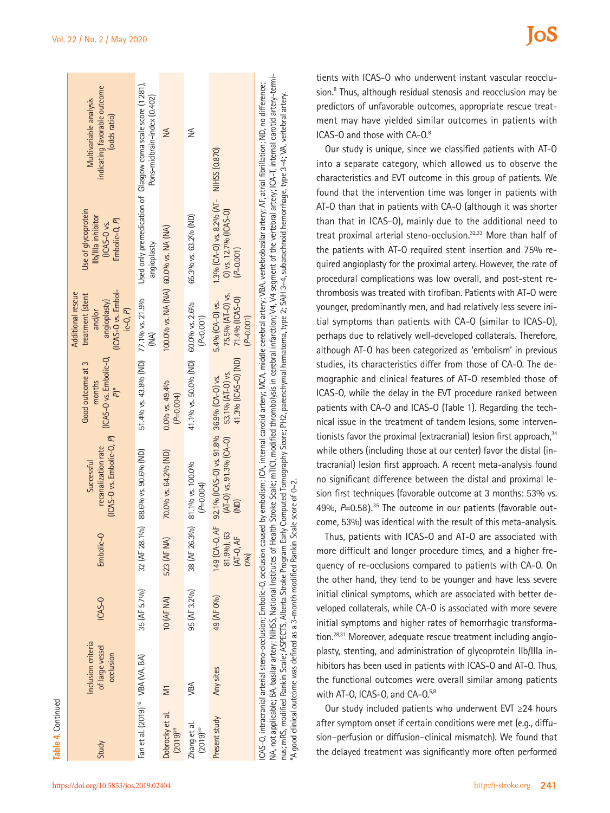| Study                                        | Inclusion criteria<br>of large vessel<br>occlusion | ICAS-0       | Embolic-O                                                      | (ICAS-O vs. Embolic-O, P)<br>recanalization rate<br>Successful                                      | (ICAS-O vs. Embolic-O,<br>Good outcome at 3<br>months<br>$\sum_{i=1}^{n}$ | (ICAS-O vs. Embol-<br>Additional rescue<br>treatment (stent<br>angioplasty)<br>$ic-0, P$<br>and/or | Use of glycoprotein<br>Ilb/Illa inhibitor<br>Embolic-Q, P)<br>IICAS-O vs.    | indicating favorable outcome<br>Multivariable analysis<br>(odds ratio)                      |
|----------------------------------------------|----------------------------------------------------|--------------|----------------------------------------------------------------|-----------------------------------------------------------------------------------------------------|---------------------------------------------------------------------------|----------------------------------------------------------------------------------------------------|------------------------------------------------------------------------------|---------------------------------------------------------------------------------------------|
| Fan et al. (2019) <sup>16</sup> VBA (VA, BA) |                                                    | 35 (AF 5.7%) | 32 (AF 28.1%)                                                  | 88.6% vs. 90.6% (ND)                                                                                | 51.4% vs. 43.8% (ND) 77.1% vs. 21.9%                                      | $(\mathbb{N})$                                                                                     | Apseldoibue                                                                  | Used only premedication of Glasgow coma scale score (1.281),<br>Pons-midbrain-index (0.402) |
| Dobrocky et al.<br>$(2019)^{29}$             | $\overline{\mathsf{M}}$                            | 10 (AF NA)   | 523 (AF NA)                                                    | 70.0% vs. 64.2% (ND)                                                                                | 0.0% vs. 49.4%<br>$(P=0.004)$                                             | 100.0% vs. NA (NA) 60.0% vs. NA (NA)                                                               |                                                                              | $\leq$                                                                                      |
| Zhang et al.<br>$(2019)^{30}$                | VBA                                                | 95 (AF 3.2%) | 38 (AF 26.3%)                                                  | 81.1% vs. 100.0%<br>$(P=0.004)$                                                                     | 41.1% vs. 50.0% (ND) 60.0% vs. 2.6%                                       | (P<0.001)                                                                                          | 65.3% vs. 63.2% (ND)                                                         | ≨                                                                                           |
| Present study                                | Any sites                                          | 49 (AF 0%)   | 149 (CA-0, AF<br>81.9%), 63<br>$(AT-O, AF)$<br>D <sub>00</sub> | 92.1% (ICAS-0) vs. 91.8% 36.9% (CA-0) vs.<br>$(AI-O)$ vs. 91.3% $(CA-O)$<br>$\overline{\mathsf{2}}$ | 41.3% (ICAS-0) (ND)<br>53.1% (AT-0) vs.                                   | 75.5% (AT-0) vs.<br>71.4% (ICAS-0)<br>5.4% (CA-O) vs.<br>$(P=0.001)$                               | .3% $(CA-0)$ vs. 8.2% $(AT -$<br>$O$ ) vs. 12.7% (ICAS- $O$ )<br>$(P=0.001)$ | NIHSS (0.870)                                                                               |

NA, not applicable; BA, basilar artery; NIHSS, National Institutes of Health Stroke Scale; mTICI, modified thrombolysis in cerebral infarction; V4. V4.segment of the vertebral artery; ICA-T, internal carotid artery-termi-NA, not applicable; BA, basilar artery; NIHSS, National Institutes of Health Stroke Scale; mTICI, modified thrombolysis in cerebral infarction; V4, V4 segment of the vertebral artery; ICA-T, internal carotid artery-termirus; mRS, modified Rankin Scale; ASPECTS, Alberta Stroke Program Early Computed Tomography Score; PH2, parenchymal hematoma, type 2; SAH 3-4, subarachnoid hemorrhage, type 3-4; VA, vertebral artery. nus; mRS, modified Rankin Scale; ASPECTS, Alberta Stroke Program Early Computed Tomography Score; PH2, parenchymal hematoma, type 2; SAH 3–4, subarachnoid hemorrhage, type 3–4; VA, vertebral artery. 'A good clinical outcome was defined as a 3-month modified Rankin Scale score of 0-2. \*A good clinical outcome was defined as a 3-month modified Rankin Scale score of 0–2. tients with ICAS-O who underwent instant vascular reocclusion.<sup>8</sup> Thus, although residual stenosis and reocclusion may be predictors of unfavorable outcomes, appropriate rescue treatment may have yielded similar outcomes in patients with ICAS-O and those with CA-O.8

Our study is unique, since we classified patients with AT-O into a separate category, which allowed us to observe the characteristics and EVT outcome in this group of patients. We found that the intervention time was longer in patients with AT-O than that in patients with CA-O (although it was shorter than that in ICAS-O), mainly due to the additional need to treat proximal arterial steno-occlusion.<sup>32,33</sup> More than half of the patients with AT-O required stent insertion and 75% required angioplasty for the proximal artery. However, the rate of procedural complications was low overall, and post-stent rethrombosis was treated with tirofiban. Patients with AT-O were younger, predominantly men, and had relatively less severe initial symptoms than patients with CA-O (similar to ICAS-O), perhaps due to relatively well-developed collaterals. Therefore, although AT-O has been categorized as 'embolism' in previous studies, its characteristics differ from those of CA-O. The demographic and clinical features of AT-O resembled those of ICAS-O, while the delay in the EVT procedure ranked between patients with CA-O and ICAS-O (Table 1). Regarding the technical issue in the treatment of tandem lesions, some interventionists favor the proximal (extracranial) lesion first approach, $34$ while others (including those at our center) favor the distal (intracranial) lesion first approach. A recent meta-analysis found no significant difference between the distal and proximal lesion first techniques (favorable outcome at 3 months: 53% vs. 49%, P=0.58).<sup>35</sup> The outcome in our patients (favorable outcome, 53%) was identical with the result of this meta-analysis.

Thus, patients with ICAS-O and AT-O are associated with more difficult and longer procedure times, and a higher frequency of re-occlusions compared to patients with CA-O. On the other hand, they tend to be younger and have less severe initial clinical symptoms, which are associated with better developed collaterals, while CA-O is associated with more severe initial symptoms and higher rates of hemorrhagic transformation.28,31 Moreover, adequate rescue treatment including angioplasty, stenting, and administration of glycoprotein IIb/IIIa inhibitors has been used in patients with ICAS-O and AT-O. Thus, the functional outcomes were overall similar among patients with AT-O, ICAS-O, and CA-O.<sup>5,8</sup>

Our study included patients who underwent EVT ≥24 hours after symptom onset if certain conditions were met (e.g., diffusion–perfusion or diffusion–clinical mismatch). We found that the delayed treatment was significantly more often performed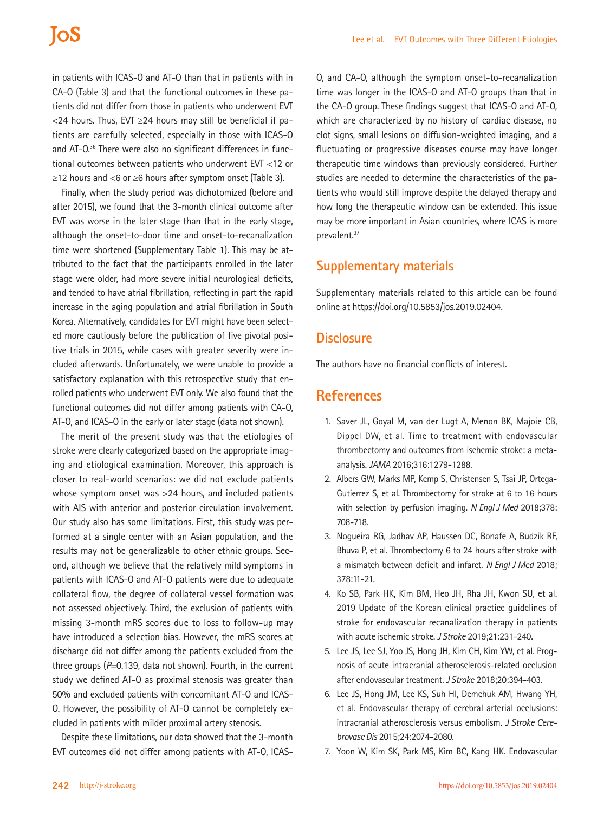## **IoS**

in patients with ICAS-O and AT-O than that in patients with in CA-O (Table 3) and that the functional outcomes in these patients did not differ from those in patients who underwent EVT <24 hours. Thus, EVT ≥24 hours may still be beneficial if patients are carefully selected, especially in those with ICAS-O and AT-0.<sup>36</sup> There were also no significant differences in functional outcomes between patients who underwent EVT <12 or ≥12 hours and <6 or ≥6 hours after symptom onset (Table 3).

Finally, when the study period was dichotomized (before and after 2015), we found that the 3-month clinical outcome after EVT was worse in the later stage than that in the early stage, although the onset-to-door time and onset-to-recanalization time were shortened (Supplementary Table 1). This may be attributed to the fact that the participants enrolled in the later stage were older, had more severe initial neurological deficits, and tended to have atrial fibrillation, reflecting in part the rapid increase in the aging population and atrial fibrillation in South Korea. Alternatively, candidates for EVT might have been selected more cautiously before the publication of five pivotal positive trials in 2015, while cases with greater severity were included afterwards. Unfortunately, we were unable to provide a satisfactory explanation with this retrospective study that enrolled patients who underwent EVT only. We also found that the functional outcomes did not differ among patients with CA-O, AT-O, and ICAS-O in the early or later stage (data not shown).

The merit of the present study was that the etiologies of stroke were clearly categorized based on the appropriate imaging and etiological examination. Moreover, this approach is closer to real-world scenarios: we did not exclude patients whose symptom onset was >24 hours, and included patients with AIS with anterior and posterior circulation involvement. Our study also has some limitations. First, this study was performed at a single center with an Asian population, and the results may not be generalizable to other ethnic groups. Second, although we believe that the relatively mild symptoms in patients with ICAS-O and AT-O patients were due to adequate collateral flow, the degree of collateral vessel formation was not assessed objectively. Third, the exclusion of patients with missing 3-month mRS scores due to loss to follow-up may have introduced a selection bias. However, the mRS scores at discharge did not differ among the patients excluded from the three groups (*P*=0.139, data not shown). Fourth, in the current study we defined AT-O as proximal stenosis was greater than 50% and excluded patients with concomitant AT-O and ICAS-O. However, the possibility of AT-O cannot be completely excluded in patients with milder proximal artery stenosis.

Despite these limitations, our data showed that the 3-month EVT outcomes did not differ among patients with AT-O, ICAS-

O, and CA-O, although the symptom onset-to-recanalization time was longer in the ICAS-O and AT-O groups than that in the CA-O group. These findings suggest that ICAS-O and AT-O, which are characterized by no history of cardiac disease, no clot signs, small lesions on diffusion-weighted imaging, and a fluctuating or progressive diseases course may have longer therapeutic time windows than previously considered. Further studies are needed to determine the characteristics of the patients who would still improve despite the delayed therapy and how long the therapeutic window can be extended. This issue may be more important in Asian countries, where ICAS is more prevalent.37

## **Supplementary materials**

Supplementary materials related to this article can be found online at https://doi.org/10.5853/jos.2019.02404.

## **Disclosure**

The authors have no financial conflicts of interest.

## **References**

- 1. Saver JL, Goyal M, van der Lugt A, Menon BK, Majoie CB, Dippel DW, et al. Time to treatment with endovascular thrombectomy and outcomes from ischemic stroke: a metaanalysis. *JAMA* 2016;316:1279-1288.
- 2. Albers GW, Marks MP, Kemp S, Christensen S, Tsai JP, Ortega-Gutierrez S, et al. Thrombectomy for stroke at 6 to 16 hours with selection by perfusion imaging. *N Engl J Med* 2018;378: 708-718.
- 3. Nogueira RG, Jadhav AP, Haussen DC, Bonafe A, Budzik RF, Bhuva P, et al. Thrombectomy 6 to 24 hours after stroke with a mismatch between deficit and infarct. *N Engl J Med* 2018; 378:11-21.
- 4. Ko SB, Park HK, Kim BM, Heo JH, Rha JH, Kwon SU, et al. 2019 Update of the Korean clinical practice guidelines of stroke for endovascular recanalization therapy in patients with acute ischemic stroke. *J Stroke* 2019;21:231-240.
- 5. Lee JS, Lee SJ, Yoo JS, Hong JH, Kim CH, Kim YW, et al. Prognosis of acute intracranial atherosclerosis-related occlusion after endovascular treatment. *J Stroke* 2018;20:394-403.
- 6. Lee JS, Hong JM, Lee KS, Suh HI, Demchuk AM, Hwang YH, et al. Endovascular therapy of cerebral arterial occlusions: intracranial atherosclerosis versus embolism. *J Stroke Cerebrovasc Dis* 2015;24:2074-2080.
- 7. Yoon W, Kim SK, Park MS, Kim BC, Kang HK. Endovascular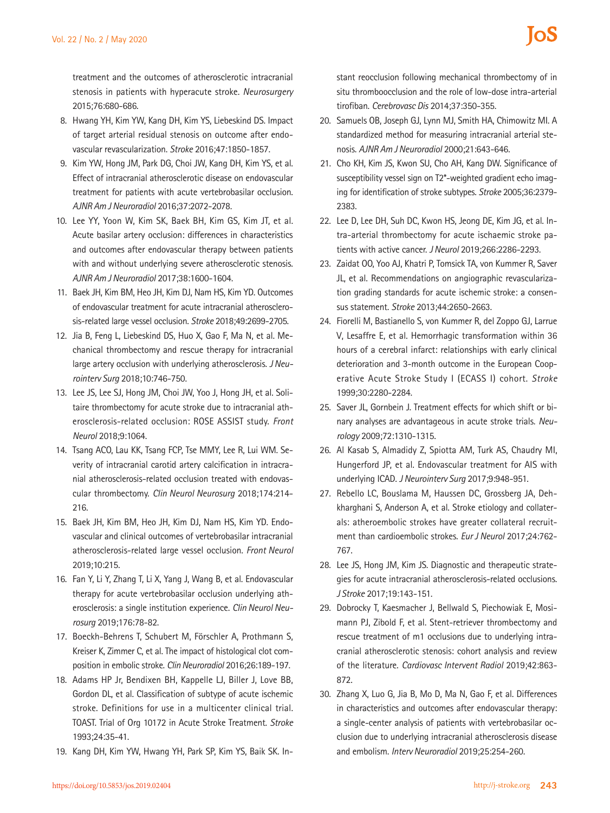treatment and the outcomes of atherosclerotic intracranial stenosis in patients with hyperacute stroke. *Neurosurgery* 2015;76:680-686.

- 8. Hwang YH, Kim YW, Kang DH, Kim YS, Liebeskind DS. Impact of target arterial residual stenosis on outcome after endovascular revascularization. *Stroke* 2016;47:1850-1857.
- 9. Kim YW, Hong JM, Park DG, Choi JW, Kang DH, Kim YS, et al. Effect of intracranial atherosclerotic disease on endovascular treatment for patients with acute vertebrobasilar occlusion. *AJNR Am J Neuroradiol* 2016;37:2072-2078.
- 10. Lee YY, Yoon W, Kim SK, Baek BH, Kim GS, Kim JT, et al. Acute basilar artery occlusion: differences in characteristics and outcomes after endovascular therapy between patients with and without underlying severe atherosclerotic stenosis. *AJNR Am J Neuroradiol* 2017;38:1600-1604.
- 11. Baek JH, Kim BM, Heo JH, Kim DJ, Nam HS, Kim YD. Outcomes of endovascular treatment for acute intracranial atherosclerosis-related large vessel occlusion. *Stroke* 2018;49:2699-2705.
- 12. Jia B, Feng L, Liebeskind DS, Huo X, Gao F, Ma N, et al. Mechanical thrombectomy and rescue therapy for intracranial large artery occlusion with underlying atherosclerosis. *J Neurointerv Surg* 2018;10:746-750.
- 13. Lee JS, Lee SJ, Hong JM, Choi JW, Yoo J, Hong JH, et al. Solitaire thrombectomy for acute stroke due to intracranial atherosclerosis-related occlusion: ROSE ASSIST study. *Front Neurol* 2018;9:1064.
- 14. Tsang ACO, Lau KK, Tsang FCP, Tse MMY, Lee R, Lui WM. Severity of intracranial carotid artery calcification in intracranial atherosclerosis-related occlusion treated with endovascular thrombectomy. *Clin Neurol Neurosurg* 2018;174:214- 216.
- 15. Baek JH, Kim BM, Heo JH, Kim DJ, Nam HS, Kim YD. Endovascular and clinical outcomes of vertebrobasilar intracranial atherosclerosis-related large vessel occlusion. *Front Neurol* 2019;10:215.
- 16. Fan Y, Li Y, Zhang T, Li X, Yang J, Wang B, et al. Endovascular therapy for acute vertebrobasilar occlusion underlying atherosclerosis: a single institution experience. *Clin Neurol Neurosurg* 2019;176:78-82.
- 17. Boeckh-Behrens T, Schubert M, Förschler A, Prothmann S, Kreiser K, Zimmer C, et al. The impact of histological clot composition in embolic stroke. *Clin Neuroradiol* 2016;26:189-197.
- 18. Adams HP Jr, Bendixen BH, Kappelle LJ, Biller J, Love BB, Gordon DL, et al. Classification of subtype of acute ischemic stroke. Definitions for use in a multicenter clinical trial. TOAST. Trial of Org 10172 in Acute Stroke Treatment. *Stroke* 1993;24:35-41.
- 19. Kang DH, Kim YW, Hwang YH, Park SP, Kim YS, Baik SK. In-

stant reocclusion following mechanical thrombectomy of in situ thromboocclusion and the role of low-dose intra-arterial tirofiban. *Cerebrovasc Dis* 2014;37:350-355.

- 20. Samuels OB, Joseph GJ, Lynn MJ, Smith HA, Chimowitz MI. A standardized method for measuring intracranial arterial stenosis. *AJNR Am J Neuroradiol* 2000;21:643-646.
- 21. Cho KH, Kim JS, Kwon SU, Cho AH, Kang DW. Significance of susceptibility vessel sign on T2\*-weighted gradient echo imaging for identification of stroke subtypes. *Stroke* 2005;36:2379- 2383.
- 22. Lee D, Lee DH, Suh DC, Kwon HS, Jeong DE, Kim JG, et al. Intra-arterial thrombectomy for acute ischaemic stroke patients with active cancer. *J Neurol* 2019;266:2286-2293.
- 23. Zaidat OO, Yoo AJ, Khatri P, Tomsick TA, von Kummer R, Saver JL, et al. Recommendations on angiographic revascularization grading standards for acute ischemic stroke: a consensus statement. *Stroke* 2013;44:2650-2663.
- 24. Fiorelli M, Bastianello S, von Kummer R, del Zoppo GJ, Larrue V, Lesaffre E, et al. Hemorrhagic transformation within 36 hours of a cerebral infarct: relationships with early clinical deterioration and 3-month outcome in the European Cooperative Acute Stroke Study I (ECASS I) cohort. *Stroke* 1999;30:2280-2284.
- 25. Saver JL, Gornbein J. Treatment effects for which shift or binary analyses are advantageous in acute stroke trials. *Neurology* 2009;72:1310-1315.
- 26. Al Kasab S, Almadidy Z, Spiotta AM, Turk AS, Chaudry MI, Hungerford JP, et al. Endovascular treatment for AIS with underlying ICAD. *J Neurointerv Surg* 2017;9:948-951.
- 27. Rebello LC, Bouslama M, Haussen DC, Grossberg JA, Dehkharghani S, Anderson A, et al. Stroke etiology and collaterals: atheroembolic strokes have greater collateral recruitment than cardioembolic strokes. *Eur J Neurol* 2017;24:762- 767.
- 28. Lee JS, Hong JM, Kim JS. Diagnostic and therapeutic strategies for acute intracranial atherosclerosis-related occlusions. *J Stroke* 2017;19:143-151.
- 29. Dobrocky T, Kaesmacher J, Bellwald S, Piechowiak E, Mosimann PJ, Zibold F, et al. Stent-retriever thrombectomy and rescue treatment of m1 occlusions due to underlying intracranial atherosclerotic stenosis: cohort analysis and review of the literature. *Cardiovasc Intervent Radiol* 2019;42:863- 872.
- 30. Zhang X, Luo G, Jia B, Mo D, Ma N, Gao F, et al. Differences in characteristics and outcomes after endovascular therapy: a single-center analysis of patients with vertebrobasilar occlusion due to underlying intracranial atherosclerosis disease and embolism. *Interv Neuroradiol* 2019;25:254-260.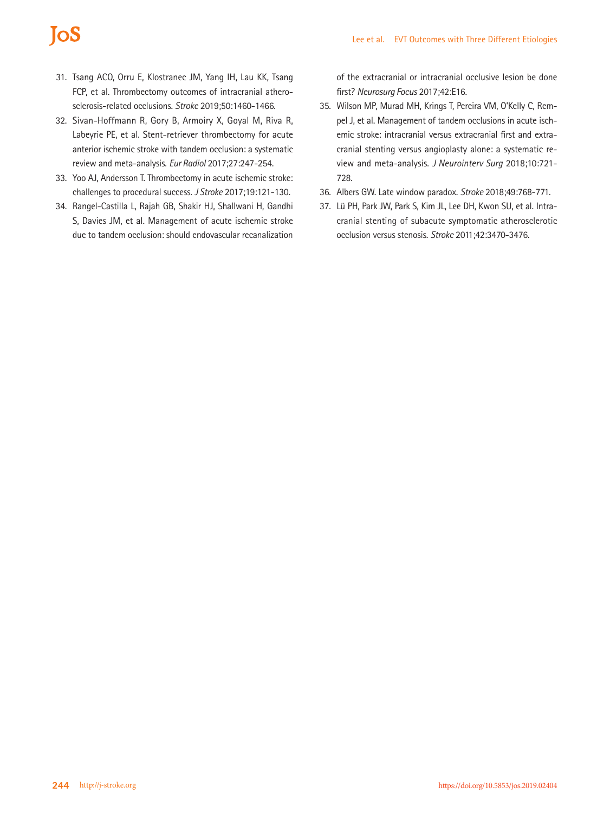# los

- 31. Tsang ACO, Orru E, Klostranec JM, Yang IH, Lau KK, Tsang FCP, et al. Thrombectomy outcomes of intracranial atherosclerosis-related occlusions. *Stroke* 2019;50:1460-1466.
- 32. Sivan-Hoffmann R, Gory B, Armoiry X, Goyal M, Riva R, Labeyrie PE, et al. Stent-retriever thrombectomy for acute anterior ischemic stroke with tandem occlusion: a systematic review and meta-analysis. *Eur Radiol* 2017;27:247-254.
- 33. Yoo AJ, Andersson T. Thrombectomy in acute ischemic stroke: challenges to procedural success. *J Stroke* 2017;19:121-130.
- 34. Rangel-Castilla L, Rajah GB, Shakir HJ, Shallwani H, Gandhi S, Davies JM, et al. Management of acute ischemic stroke due to tandem occlusion: should endovascular recanalization

of the extracranial or intracranial occlusive lesion be done first? *Neurosurg Focus* 2017;42:E16.

- 35. Wilson MP, Murad MH, Krings T, Pereira VM, O'Kelly C, Rempel J, et al. Management of tandem occlusions in acute ischemic stroke: intracranial versus extracranial first and extracranial stenting versus angioplasty alone: a systematic review and meta-analysis. *J Neurointerv Surg* 2018;10:721- 728.
- 36. Albers GW. Late window paradox. *Stroke* 2018;49:768-771.
- 37. Lü PH, Park JW, Park S, Kim JL, Lee DH, Kwon SU, et al. Intracranial stenting of subacute symptomatic atherosclerotic occlusion versus stenosis. *Stroke* 2011;42:3470-3476.